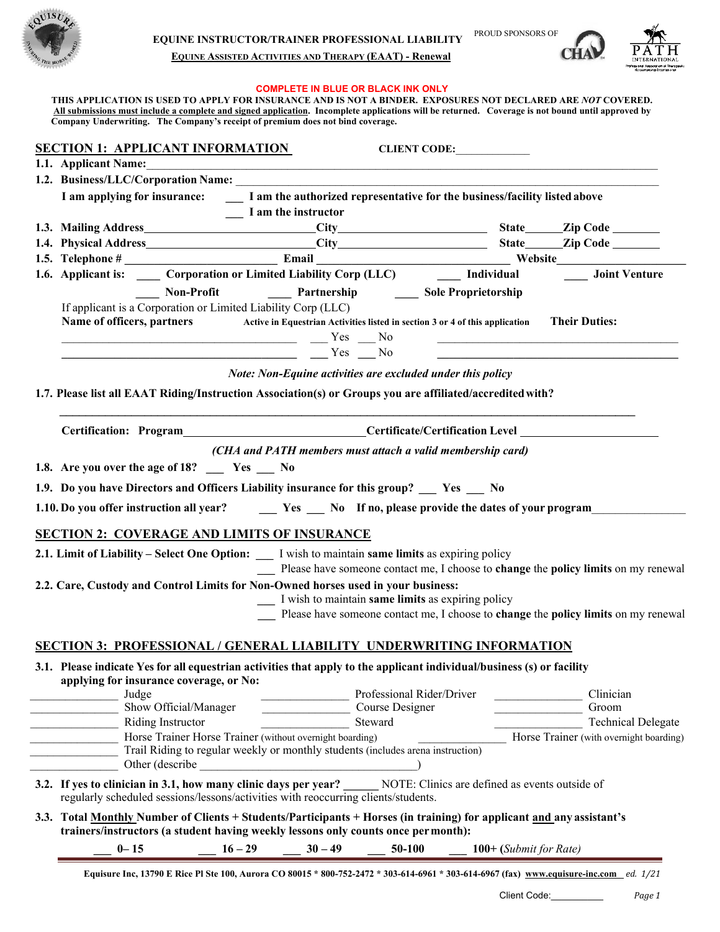

### **EQUINE ASSISTED ACTIVITIES AND THERAPY (EAAT) - Renewal**

#### **COMPLETE IN BLUE OR BLACK INK ONLY**

**THIS APPLICATION IS USED TO APPLY FOR INSURANCE AND IS NOT A BINDER. EXPOSURES NOT DECLARED ARE** *NOT* **COVERED. All submissions must include a complete and signed application. Incomplete applications will be returned. Coverage is not bound until approved by Company Underwriting. The Company's receipt of premium does not bind coverage.**

| <b>SECTION 1: APPLICANT INFORMATION</b><br><b>CLIENT CODE:</b>                                                                                                                                                                                                                                                                                                                                                                                                                                                                                                                                                                                                                                                                                                                                                                                                                       |
|--------------------------------------------------------------------------------------------------------------------------------------------------------------------------------------------------------------------------------------------------------------------------------------------------------------------------------------------------------------------------------------------------------------------------------------------------------------------------------------------------------------------------------------------------------------------------------------------------------------------------------------------------------------------------------------------------------------------------------------------------------------------------------------------------------------------------------------------------------------------------------------|
| 1.1. Applicant Name: 1.1. Applicant Name:                                                                                                                                                                                                                                                                                                                                                                                                                                                                                                                                                                                                                                                                                                                                                                                                                                            |
|                                                                                                                                                                                                                                                                                                                                                                                                                                                                                                                                                                                                                                                                                                                                                                                                                                                                                      |
| I am applying for insurance:<br>I am the authorized representative for the business/facility listed above<br>$\frac{1}{2}$ I am the instructor                                                                                                                                                                                                                                                                                                                                                                                                                                                                                                                                                                                                                                                                                                                                       |
|                                                                                                                                                                                                                                                                                                                                                                                                                                                                                                                                                                                                                                                                                                                                                                                                                                                                                      |
|                                                                                                                                                                                                                                                                                                                                                                                                                                                                                                                                                                                                                                                                                                                                                                                                                                                                                      |
|                                                                                                                                                                                                                                                                                                                                                                                                                                                                                                                                                                                                                                                                                                                                                                                                                                                                                      |
| 1.6. Applicant is: _____ Corporation or Limited Liability Corp (LLC) _______ Individual _______ Joint Venture                                                                                                                                                                                                                                                                                                                                                                                                                                                                                                                                                                                                                                                                                                                                                                        |
| Non-Profit <b>Mathematic Partnership</b> Sole Proprietorship                                                                                                                                                                                                                                                                                                                                                                                                                                                                                                                                                                                                                                                                                                                                                                                                                         |
| If applicant is a Corporation or Limited Liability Corp (LLC)<br>Name of officers, partners<br>Active in Equestrian Activities listed in section 3 or 4 of this application Their Duties:<br>$\frac{1}{\sqrt{1-\frac{1}{2}}}\frac{1}{\sqrt{1-\frac{1}{2}}}\frac{1}{\sqrt{1-\frac{1}{2}}}\frac{1}{\sqrt{1-\frac{1}{2}}}\frac{1}{\sqrt{1-\frac{1}{2}}}\frac{1}{\sqrt{1-\frac{1}{2}}}\frac{1}{\sqrt{1-\frac{1}{2}}}\frac{1}{\sqrt{1-\frac{1}{2}}}\frac{1}{\sqrt{1-\frac{1}{2}}}\frac{1}{\sqrt{1-\frac{1}{2}}}\frac{1}{\sqrt{1-\frac{1}{2}}}\frac{1}{\sqrt{1-\frac{1}{2}}}\frac{1}{\sqrt{1-\frac{1}{2}}}\frac{1}{\sqrt{1-\frac{$<br><u> 1989 - Johann Harry Harry Harry Harry Harry Harry Harry Harry Harry Harry Harry Harry Harry Harry Harry Harry Harry Harry Harry Harry Harry Harry Harry Harry Harry Harry Harry Harry Harry Harry Harry Harry Harry Harry Ha</u><br>$Y$ es $N$ o |
| Note: Non-Equine activities are excluded under this policy                                                                                                                                                                                                                                                                                                                                                                                                                                                                                                                                                                                                                                                                                                                                                                                                                           |
| 1.7. Please list all EAAT Riding/Instruction Association(s) or Groups you are affiliated/accredited with?                                                                                                                                                                                                                                                                                                                                                                                                                                                                                                                                                                                                                                                                                                                                                                            |
| Certification: Program___________________________Certificate/Certification Level __________________                                                                                                                                                                                                                                                                                                                                                                                                                                                                                                                                                                                                                                                                                                                                                                                  |
| (CHA and PATH members must attach a valid membership card)                                                                                                                                                                                                                                                                                                                                                                                                                                                                                                                                                                                                                                                                                                                                                                                                                           |
|                                                                                                                                                                                                                                                                                                                                                                                                                                                                                                                                                                                                                                                                                                                                                                                                                                                                                      |
| 1.8. Are you over the age of 18? __ Yes __ No                                                                                                                                                                                                                                                                                                                                                                                                                                                                                                                                                                                                                                                                                                                                                                                                                                        |
| 1.9. Do you have Directors and Officers Liability insurance for this group? __ Yes __ No                                                                                                                                                                                                                                                                                                                                                                                                                                                                                                                                                                                                                                                                                                                                                                                             |
| 1.10. Do you offer instruction all year?<br><u> Ves</u> No If no, please provide the dates of your program                                                                                                                                                                                                                                                                                                                                                                                                                                                                                                                                                                                                                                                                                                                                                                           |
| <b>SECTION 2: COVERAGE AND LIMITS OF INSURANCE</b>                                                                                                                                                                                                                                                                                                                                                                                                                                                                                                                                                                                                                                                                                                                                                                                                                                   |
| 2.1. Limit of Liability - Select One Option: __ I wish to maintain same limits as expiring policy<br>Please have someone contact me, I choose to change the policy limits on my renewal                                                                                                                                                                                                                                                                                                                                                                                                                                                                                                                                                                                                                                                                                              |
| 2.2. Care, Custody and Control Limits for Non-Owned horses used in your business:<br>I wish to maintain same limits as expiring policy<br>Please have someone contact me, I choose to change the policy limits on my renewal                                                                                                                                                                                                                                                                                                                                                                                                                                                                                                                                                                                                                                                         |
| <b>SECTION 3: PROFESSIONAL / GENERAL LIABILITY UNDERWRITING INFORMATION</b>                                                                                                                                                                                                                                                                                                                                                                                                                                                                                                                                                                                                                                                                                                                                                                                                          |
| 3.1. Please indicate Yes for all equestrian activities that apply to the applicant individual/business (s) or facility<br>applying for insurance coverage, or No:                                                                                                                                                                                                                                                                                                                                                                                                                                                                                                                                                                                                                                                                                                                    |
| Professional Rider/Driver<br>Judge<br>Clinician                                                                                                                                                                                                                                                                                                                                                                                                                                                                                                                                                                                                                                                                                                                                                                                                                                      |
| Show Official/Manager<br>Course Designer<br>Groom                                                                                                                                                                                                                                                                                                                                                                                                                                                                                                                                                                                                                                                                                                                                                                                                                                    |
| Riding Instructor<br>Steward<br><b>Technical Delegate</b>                                                                                                                                                                                                                                                                                                                                                                                                                                                                                                                                                                                                                                                                                                                                                                                                                            |
| Horse Trainer Horse Trainer (without overnight boarding)<br>Horse Trainer (with overnight boarding)<br>Trail Riding to regular weekly or monthly students (includes arena instruction)<br>Other (describe                                                                                                                                                                                                                                                                                                                                                                                                                                                                                                                                                                                                                                                                            |
| 3.2. If yes to clinician in 3.1, how many clinic days per year? NOTE: Clinics are defined as events outside of<br>regularly scheduled sessions/lessons/activities with reoccurring clients/students.                                                                                                                                                                                                                                                                                                                                                                                                                                                                                                                                                                                                                                                                                 |
| 3.3. Total Monthly Number of Clients + Students/Participants + Horses (in training) for applicant and any assistant's<br>trainers/instructors (a student having weekly lessons only counts once per month):                                                                                                                                                                                                                                                                                                                                                                                                                                                                                                                                                                                                                                                                          |
| $0 - 15$<br>$30 - 49$<br>50-100<br>$16 - 29$<br>$100+$ (Submit for Rate)                                                                                                                                                                                                                                                                                                                                                                                                                                                                                                                                                                                                                                                                                                                                                                                                             |
|                                                                                                                                                                                                                                                                                                                                                                                                                                                                                                                                                                                                                                                                                                                                                                                                                                                                                      |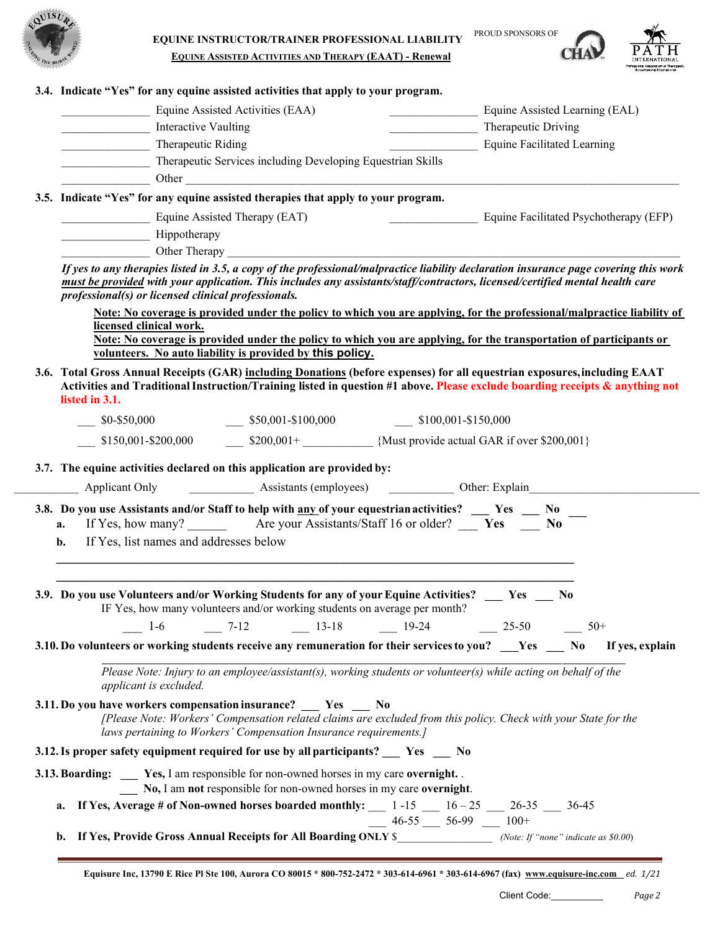

**CHA** 



|                                        |                                                                                | Equine Assisted Activities (EAA)                                                                                                                                                                                                                                                                                                                                                                                                         |                              |  |                     | Equine Assisted Learning (EAL)         |  |  |
|----------------------------------------|--------------------------------------------------------------------------------|------------------------------------------------------------------------------------------------------------------------------------------------------------------------------------------------------------------------------------------------------------------------------------------------------------------------------------------------------------------------------------------------------------------------------------------|------------------------------|--|---------------------|----------------------------------------|--|--|
|                                        | Interactive Vaulting                                                           |                                                                                                                                                                                                                                                                                                                                                                                                                                          |                              |  | Therapeutic Driving |                                        |  |  |
|                                        | Therapeutic Riding                                                             |                                                                                                                                                                                                                                                                                                                                                                                                                                          |                              |  |                     | Equine Facilitated Learning            |  |  |
|                                        | Therapeutic Services including Developing Equestrian Skills                    |                                                                                                                                                                                                                                                                                                                                                                                                                                          |                              |  |                     |                                        |  |  |
|                                        |                                                                                | Other Contract of the Contract of the Contract of the Contract of the Contract of the Contract of the Contract of the Contract of the Contract of the Contract of the Contract of the Contract of the Contract of the Contract                                                                                                                                                                                                           |                              |  |                     |                                        |  |  |
|                                        |                                                                                | 3.5. Indicate "Yes" for any equine assisted therapies that apply to your program.                                                                                                                                                                                                                                                                                                                                                        |                              |  |                     |                                        |  |  |
|                                        |                                                                                | Equine Assisted Therapy (EAT)                                                                                                                                                                                                                                                                                                                                                                                                            |                              |  |                     | Equine Facilitated Psychotherapy (EFP) |  |  |
|                                        | Hippotherapy                                                                   |                                                                                                                                                                                                                                                                                                                                                                                                                                          |                              |  |                     |                                        |  |  |
|                                        |                                                                                | Other Therapy                                                                                                                                                                                                                                                                                                                                                                                                                            |                              |  |                     |                                        |  |  |
|                                        | professional(s) or licensed clinical professionals.<br>licensed clinical work. | Note: No coverage is provided under the policy to which you are applying, for the professional/malpractice liability of<br>Note: No coverage is provided under the policy to which you are applying, for the transportation of participants or<br>volunteers. No auto liability is provided by this policy.<br>3.6. Total Gross Annual Receipts (GAR) including Donations (before expenses) for all equestrian exposures, including EAAT |                              |  |                     |                                        |  |  |
| listed in 3.1.                         |                                                                                | Activities and Traditional Instruction/Training listed in question #1 above. Please exclude boarding receipts & anything not                                                                                                                                                                                                                                                                                                             |                              |  |                     |                                        |  |  |
|                                        |                                                                                | $\frac{\$0-\$50,000}{\$}$ $\frac{\$50,001 - \$100,000}{\$}$ $\frac{\$100,001 - \$150,000}{\$}$                                                                                                                                                                                                                                                                                                                                           |                              |  |                     |                                        |  |  |
|                                        |                                                                                |                                                                                                                                                                                                                                                                                                                                                                                                                                          |                              |  |                     |                                        |  |  |
|                                        |                                                                                | $\frac{\text{150,001-S200,000}}{\text{150,001-S200,000}}$ \$200,001+<br>Alust provide actual GAR if over \$200,001}<br>3.7. The equine activities declared on this application are provided by:                                                                                                                                                                                                                                          |                              |  |                     |                                        |  |  |
| Applicant Only<br>a.<br>$\mathbf{b}$ . | If Yes, list names and addresses below                                         | 3.8. Do you use Assistants and/or Staff to help with any of your equestrian activities? __ Yes _ No                                                                                                                                                                                                                                                                                                                                      |                              |  |                     |                                        |  |  |
|                                        |                                                                                | 3.9. Do you use Volunteers and/or Working Students for any of your Equine Activities? Yes No<br>IF Yes, how many volunteers and/or working students on average per month?<br>$-$ 1-6 $-$ 7-12 $-$ 13-18 $-$ 19-24 $-$ 25-50 $-$ 50+                                                                                                                                                                                                      |                              |  |                     |                                        |  |  |
|                                        | applicant is excluded.                                                         | 3.10. Do volunteers or working students receive any remuneration for their services to you? __ Yes __ No If yes, explain<br>Please Note: Injury to an employee/assistant(s), working students or volunteer(s) while acting on behalf of the                                                                                                                                                                                              |                              |  |                     |                                        |  |  |
|                                        |                                                                                | 3.11. Do you have workers compensation insurance? Yes No<br>[Please Note: Workers' Compensation related claims are excluded from this policy. Check with your State for the<br>laws pertaining to Workers' Compensation Insurance requirements.]                                                                                                                                                                                         |                              |  |                     |                                        |  |  |
|                                        |                                                                                | 3.12. Is proper safety equipment required for use by all participants? _____ Yes _____ No                                                                                                                                                                                                                                                                                                                                                |                              |  |                     |                                        |  |  |
|                                        |                                                                                | 3.13. Boarding: _____ Yes, I am responsible for non-owned horses in my care overnight.                                                                                                                                                                                                                                                                                                                                                   |                              |  |                     |                                        |  |  |
| a.                                     |                                                                                | No, I am not responsible for non-owned horses in my care overnight.<br>If Yes, Average # of Non-owned horses boarded monthly: __ 1 -15 __ 16 - 25 __ 26-35 __ 36-45                                                                                                                                                                                                                                                                      | $-$ 46-55 $-$ 56-99 $-$ 100+ |  |                     |                                        |  |  |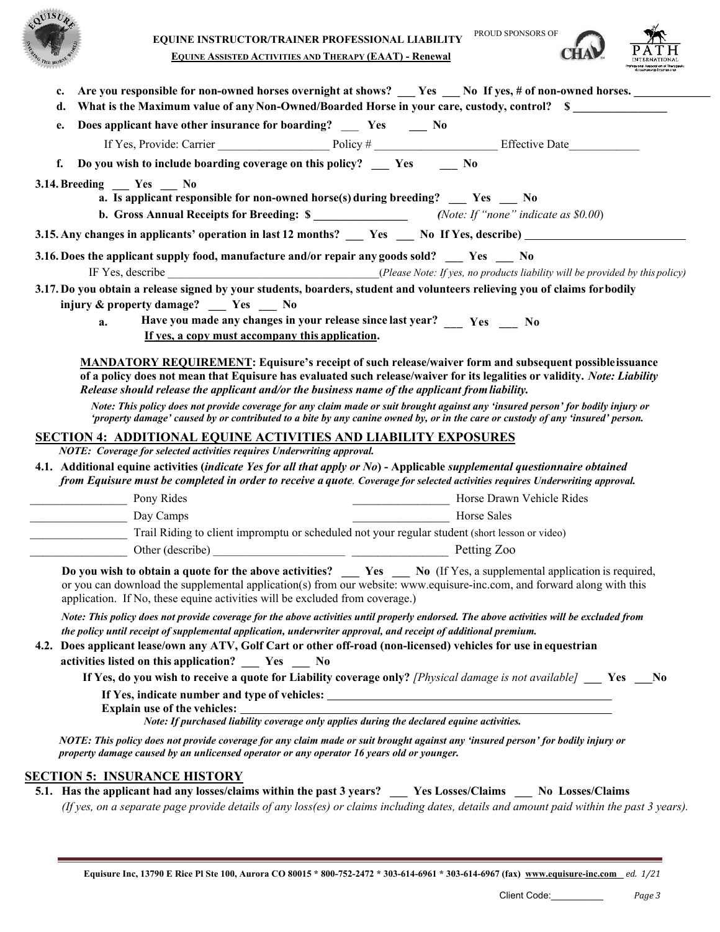



C<sup>H</sup>

| e.                    | Does applicant have other insurance for boarding? __ Yes __ No                                                                                                                                                                                                                                                                                                                                                                      |             |                                                                                                                                                                                                                                            |
|-----------------------|-------------------------------------------------------------------------------------------------------------------------------------------------------------------------------------------------------------------------------------------------------------------------------------------------------------------------------------------------------------------------------------------------------------------------------------|-------------|--------------------------------------------------------------------------------------------------------------------------------------------------------------------------------------------------------------------------------------------|
|                       |                                                                                                                                                                                                                                                                                                                                                                                                                                     |             |                                                                                                                                                                                                                                            |
| f.                    | Do you wish to include boarding coverage on this policy? __ Yes __ No                                                                                                                                                                                                                                                                                                                                                               |             |                                                                                                                                                                                                                                            |
| 3.14. Breeding Yes No |                                                                                                                                                                                                                                                                                                                                                                                                                                     |             |                                                                                                                                                                                                                                            |
|                       | a. Is applicant responsible for non-owned horse(s) during breeding? Yes No                                                                                                                                                                                                                                                                                                                                                          |             |                                                                                                                                                                                                                                            |
|                       | <b>b.</b> Gross Annual Receipts for Breeding: \$ _______________________(Note: If "none" indicate as \$0.00)                                                                                                                                                                                                                                                                                                                        |             |                                                                                                                                                                                                                                            |
|                       |                                                                                                                                                                                                                                                                                                                                                                                                                                     |             | 3.15. Any changes in applicants' operation in last 12 months? __ Yes __ No If Yes, describe) _________________                                                                                                                             |
|                       | 3.16. Does the applicant supply food, manufacture and/or repair any goods sold? __ Yes __ No                                                                                                                                                                                                                                                                                                                                        |             |                                                                                                                                                                                                                                            |
|                       | 3.17. Do you obtain a release signed by your students, boarders, student and volunteers relieving you of claims forbodily<br>injury & property damage? __ Yes _ No                                                                                                                                                                                                                                                                  |             |                                                                                                                                                                                                                                            |
| a.                    | Have you made any changes in your release since last year? Yes No                                                                                                                                                                                                                                                                                                                                                                   |             |                                                                                                                                                                                                                                            |
|                       | If yes, a copy must accompany this application.                                                                                                                                                                                                                                                                                                                                                                                     |             |                                                                                                                                                                                                                                            |
|                       | Release should release the applicant and/or the business name of the applicant from liability.                                                                                                                                                                                                                                                                                                                                      |             | <b>MANDATORY REQUIREMENT:</b> Equisure's receipt of such release/waiver form and subsequent possible issuance<br>of a policy does not mean that Equisure has evaluated such release/waiver for its legalities or validity. Note: Liability |
|                       | Note: This policy does not provide coverage for any claim made or suit brought against any 'insured person' for bodily injury or<br>'property damage' caused by or contributed to a bite by any canine owned by, or in the care or custody of any 'insured' person.                                                                                                                                                                 |             |                                                                                                                                                                                                                                            |
|                       | <b>SECTION 4: ADDITIONAL EQUINE ACTIVITIES AND LIABILITY EXPOSURES</b>                                                                                                                                                                                                                                                                                                                                                              |             |                                                                                                                                                                                                                                            |
|                       | NOTE: Coverage for selected activities requires Underwriting approval.                                                                                                                                                                                                                                                                                                                                                              |             |                                                                                                                                                                                                                                            |
|                       | 4.1. Additional equine activities (indicate Yes for all that apply or No) - Applicable supplemental questionnaire obtained<br>from Equisure must be completed in order to receive a quote. Coverage for selected activities requires Underwriting approval.                                                                                                                                                                         |             |                                                                                                                                                                                                                                            |
| Pony Rides            |                                                                                                                                                                                                                                                                                                                                                                                                                                     |             | Horse Drawn Vehicle Rides                                                                                                                                                                                                                  |
| Day Camps             |                                                                                                                                                                                                                                                                                                                                                                                                                                     | Horse Sales |                                                                                                                                                                                                                                            |
|                       | Trail Riding to client impromptu or scheduled not your regular student (short lesson or video)                                                                                                                                                                                                                                                                                                                                      |             |                                                                                                                                                                                                                                            |
|                       |                                                                                                                                                                                                                                                                                                                                                                                                                                     |             |                                                                                                                                                                                                                                            |
|                       | or you can download the supplemental application(s) from our website: www.equisure-inc.com, and forward along with this<br>application. If No, these equine activities will be excluded from coverage.)                                                                                                                                                                                                                             |             | Do you wish to obtain a quote for the above activities? __ Yes _ No (If Yes, a supplemental application is required,                                                                                                                       |
|                       | Note: This policy does not provide coverage for the above activities until properly endorsed. The above activities will be excluded from<br>the policy until receipt of supplemental application, underwriter approval, and receipt of additional premium.<br>4.2. Does applicant lease/own any ATV, Golf Cart or other off-road (non-licensed) vehicles for use in equestrian<br>activities listed on this application?   Yes   No |             |                                                                                                                                                                                                                                            |
|                       |                                                                                                                                                                                                                                                                                                                                                                                                                                     |             | If Yes, do you wish to receive a quote for Liability coverage only? [Physical damage is not available] $\Box$ Yes $\Box$ No                                                                                                                |
|                       | Explain use of the vehicles:<br>Note: If purchased liability coverage only applies during the declared equine activities.                                                                                                                                                                                                                                                                                                           |             |                                                                                                                                                                                                                                            |
|                       | NOTE: This policy does not provide coverage for any claim made or suit brought against any 'insured person' for bodily injury or<br>property damage caused by an unlicensed operator or any operator 16 years old or younger.                                                                                                                                                                                                       |             |                                                                                                                                                                                                                                            |
|                       |                                                                                                                                                                                                                                                                                                                                                                                                                                     |             |                                                                                                                                                                                                                                            |
|                       | <b>SECTION 5: INSURANCE HISTORY</b>                                                                                                                                                                                                                                                                                                                                                                                                 |             | 5.1. Has the applicant had any losses/claims within the past 3 years? __ Yes Losses/Claims __ No Losses/Claims                                                                                                                             |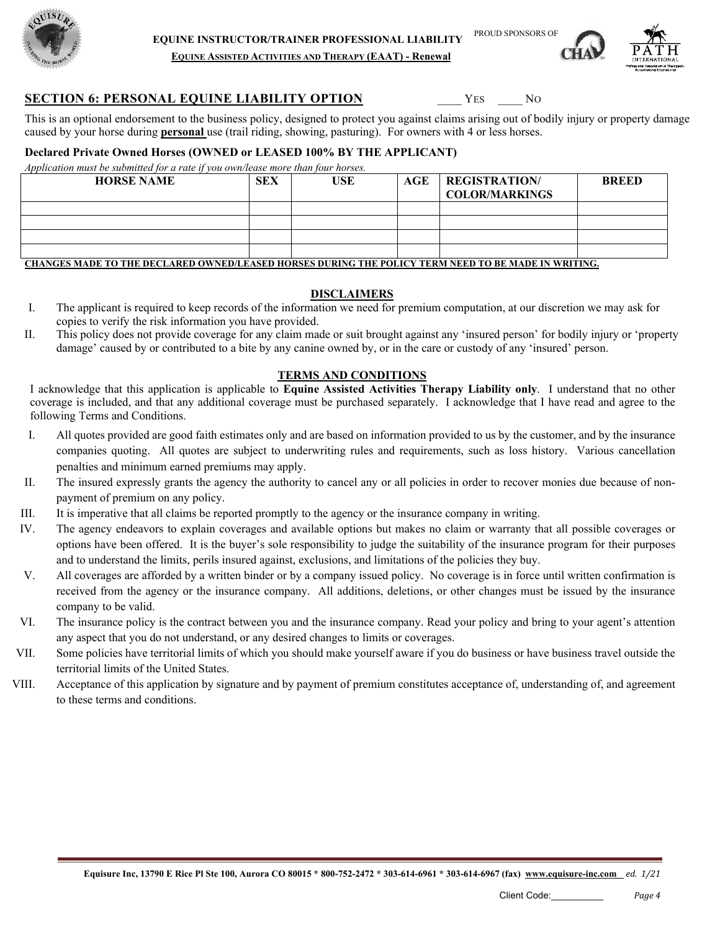



**EQUINE ASSISTED ACTIVITIES AND THERAPY (EAAT) - Renewal**

# **SECTION 6: PERSONAL EQUINE LIABILITY OPTION** YES NO

This is an optional endorsement to the business policy, designed to protect you against claims arising out of bodily injury or property damage caused by your horse during **personal** use (trail riding, showing, pasturing). For owners with 4 or less horses.

# **Declared Private Owned Horses (OWNED or LEASED 100% BY THE APPLICANT)**

*Application must be submitted for a rate if you own/lease more than four horses.*

| <b>HORSE NAME</b> | <b>SEX</b> | USE | $\mathbf{AGE}$ | <b>REGISTRATION</b><br><b>COLOR/MARKINGS</b> | <b>BREED</b> |
|-------------------|------------|-----|----------------|----------------------------------------------|--------------|
|                   |            |     |                |                                              |              |
|                   |            |     |                |                                              |              |
|                   |            |     |                |                                              |              |
|                   |            |     |                |                                              |              |
|                   |            |     |                |                                              |              |

**CHANGES MADE TO THE DECLARED OWNED/LEASED HORSES DURING THE POLICY TERM NEED TO BE MADE IN WRITING.**

# **DISCLAIMERS**

- I. The applicant is required to keep records of the information we need for premium computation, at our discretion we may ask for copies to verify the risk information you have provided.
- II. This policy does not provide coverage for any claim made or suit brought against any 'insured person' for bodily injury or 'property damage' caused by or contributed to a bite by any canine owned by, or in the care or custody of any 'insured' person.

# **TERMS AND CONDITIONS**

I acknowledge that this application is applicable to **Equine Assisted Activities Therapy Liability only**. I understand that no other coverage is included, and that any additional coverage must be purchased separately. I acknowledge that I have read and agree to the following Terms and Conditions.

- I. All quotes provided are good faith estimates only and are based on information provided to us by the customer, and by the insurance companies quoting. All quotes are subject to underwriting rules and requirements, such as loss history. Various cancellation penalties and minimum earned premiums may apply.
- II. The insured expressly grants the agency the authority to cancel any or all policies in order to recover monies due because of nonpayment of premium on any policy.
- III. It is imperative that all claims be reported promptly to the agency or the insurance company in writing.
- IV. The agency endeavors to explain coverages and available options but makes no claim or warranty that all possible coverages or options have been offered. It is the buyer's sole responsibility to judge the suitability of the insurance program for their purposes and to understand the limits, perils insured against, exclusions, and limitations of the policies they buy.
- V. All coverages are afforded by a written binder or by a company issued policy. No coverage is in force until written confirmation is received from the agency or the insurance company. All additions, deletions, or other changes must be issued by the insurance company to be valid.
- VI. The insurance policy is the contract between you and the insurance company. Read your policy and bring to your agent's attention any aspect that you do not understand, or any desired changes to limits or coverages.
- VII. Some policies have territorial limits of which you should make yourself aware if you do business or have business travel outside the territorial limits of the United States.
- VIII. Acceptance of this application by signature and by payment of premium constitutes acceptance of, understanding of, and agreement to these terms and conditions.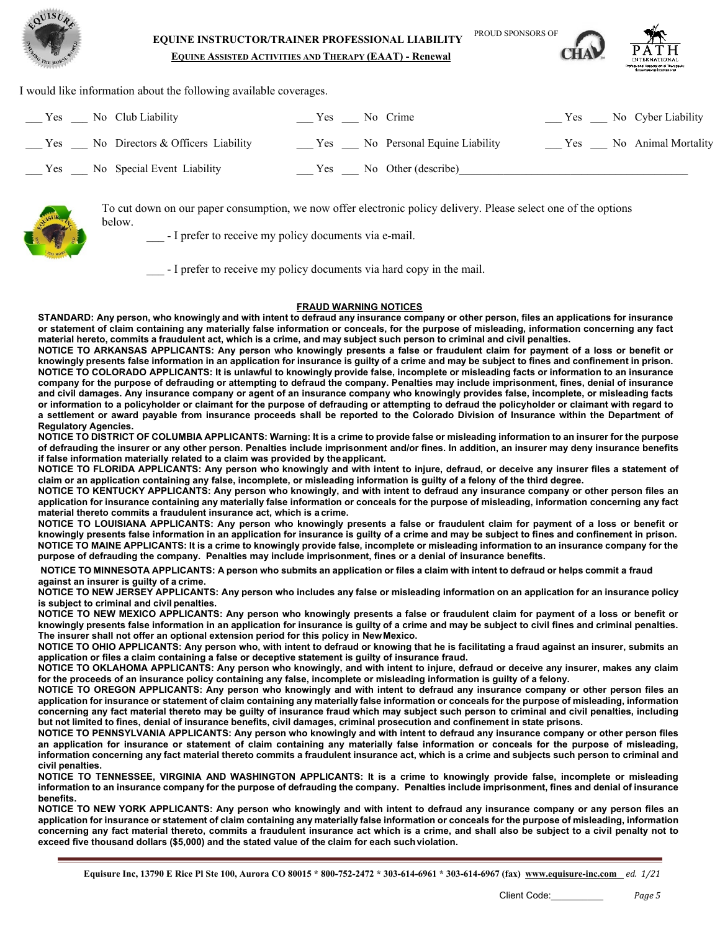



**EQUINE ASSISTED ACTIVITIES AND THERAPY (EAAT) - Renewal**

I would like information about the following available coverages.

| Yes<br>No Club Liability                    | No Crime<br>Yes.                    | Yes No Cyber Liability     |
|---------------------------------------------|-------------------------------------|----------------------------|
| $Y$ es<br>No Directors & Officers Liability | No Personal Equine Liability<br>Yes | No Animal Mortality<br>Yes |
| Yes<br>No Special Event Liability           | Yes.<br>No Other (describe)         |                            |



To cut down on our paper consumption, we now offer electronic policy delivery. Please select one of the options below.

- I prefer to receive my policy documents via e-mail.

- I prefer to receive my policy documents via hard copy in the mail.

#### **FRAUD WARNING NOTICES**

STANDARD: Any person, who knowingly and with intent to defraud any insurance company or other person, files an applications for insurance **or statement of claim containing any materially false information or conceals, for the purpose of misleading, information concerning any fact**  material hereto, commits a fraudulent act, which is a crime, and may subject such person to criminal and civil penalties.

**NOTICE TO ARKANSAS APPLICANTS: Any person who knowingly presents a false or fraudulent claim for payment of a loss or benefit or**  knowingly presents false information in an application for insurance is guilty of a crime and may be subject to fines and confinement in prison. NOTICE TO COLORADO APPLICANTS: It is unlawful to knowingly provide false, incomplete or misleading facts or information to an insurance **company for the purpose of defrauding or attempting to defraud the company. Penalties may include imprisonment, fines, denial of insurance and civil damages. Any insurance company or agent of an insurance company who knowingly provides false, incomplete, or misleading facts or information to a policyholder or claimant for the purpose of defrauding or attempting to defraud the policyholder or claimant with regard to a settlement or award payable from insurance proceeds shall be reported to the Colorado Division of Insurance within the Department of Regulatory Agencies.**

NOTICE TO DISTRICT OF COLUMBIA APPLICANTS: Warning: It is a crime to provide false or misleading information to an insurer for the purpose **of defrauding the insurer or any other person. Penalties include imprisonment and/or fines. In addition, an insurer may deny insurance benefits if false information materially related to a claim was provided by theapplicant.**

**NOTICE TO FLORIDA APPLICANTS: Any person who knowingly and with intent to injure, defraud, or deceive any insurer files a statement of claim or an application containing any false, incomplete, or misleading information is guilty of a felony of the third degree.**

**NOTICE TO KENTUCKY APPLICANTS: Any person who knowingly, and with intent to defraud any insurance company or other person files an**  application for insurance containing any materially false information or conceals for the purpose of misleading, information concerning any fact **material thereto commits a fraudulent insurance act, which is a crime.**

**NOTICE TO LOUISIANA APPLICANTS: Any person who knowingly presents a false or fraudulent claim for payment of a loss or benefit or knowingly presents false information in an application for insurance is guilty of a crime and may be subject to fines and confinement in prison. NOTICE TO MAINE APPLICANTS: It is a crime to knowingly provide false, incomplete or misleading information to an insurance company for the purpose of defrauding the company. Penalties may include imprisonment, fines or a denial of insurance benefits.**

NOTICE TO MINNESOTA APPLICANTS: A person who submits an application or files a claim with intent to defraud or helps commit a fraud

**against an insurer is guilty of a crime.**

NOTICE TO NEW JERSEY APPLICANTS: Any person who includes any false or misleading information on an application for an insurance policy **is subject to criminal and civil penalties.**

**NOTICE TO NEW MEXICO APPLICANTS: Any person who knowingly presents a false or fraudulent claim for payment of a loss or benefit or**  knowingly presents false information in an application for insurance is guilty of a crime and may be subject to civil fines and criminal penalties. **The insurer shall not offer an optional extension period for this policy in NewMexico.**

**NOTICE TO OHIO APPLICANTS: Any person who, with intent to defraud or knowing that he is facilitating a fraud against an insurer, submits an application or files a claim containing a false or deceptive statement is guilty of insurance fraud.**

**NOTICE TO OKLAHOMA APPLICANTS: Any person who knowingly, and with intent to injure, defraud or deceive any insurer, makes any claim for the proceeds of an insurance policy containing any false, incomplete or misleading information is guilty of a felony.**

**NOTICE TO OREGON APPLICANTS: Any person who knowingly and with intent to defraud any insurance company or other person files an**  application for insurance or statement of claim containing any materially false information or conceals for the purpose of misleading, information **concerning any fact material thereto may be guilty of insurance fraud which may subject such person to criminal and civil penalties, including**  but not limited to fines, denial of insurance benefits, civil damages, criminal prosecution and confinement in state prisons.

**NOTICE TO PENNSYLVANIA APPLICANTS: Any person who knowingly and with intent to defraud any insurance company or other person files an application for insurance or statement of claim containing any materially false information or conceals for the purpose of misleading,**  information concerning any fact material thereto commits a fraudulent insurance act, which is a crime and subjects such person to criminal and **civil penalties.**

**NOTICE TO TENNESSEE, VIRGINIA AND WASHINGTON APPLICANTS: It is a crime to knowingly provide false, incomplete or misleading**  information to an insurance company for the purpose of defrauding the company. Penalties include imprisonment, fines and denial of insurance **benefits.**

**NOTICE TO NEW YORK APPLICANTS: Any person who knowingly and with intent to defraud any insurance company or any person files an**  application for insurance or statement of claim containing any materially false information or conceals for the purpose of misleading, information **concerning any fact material thereto, commits a fraudulent insurance act which is a crime, and shall also be subject to a civil penalty not to exceed five thousand dollars (\$5,000) and the stated value of the claim for each suchviolation.**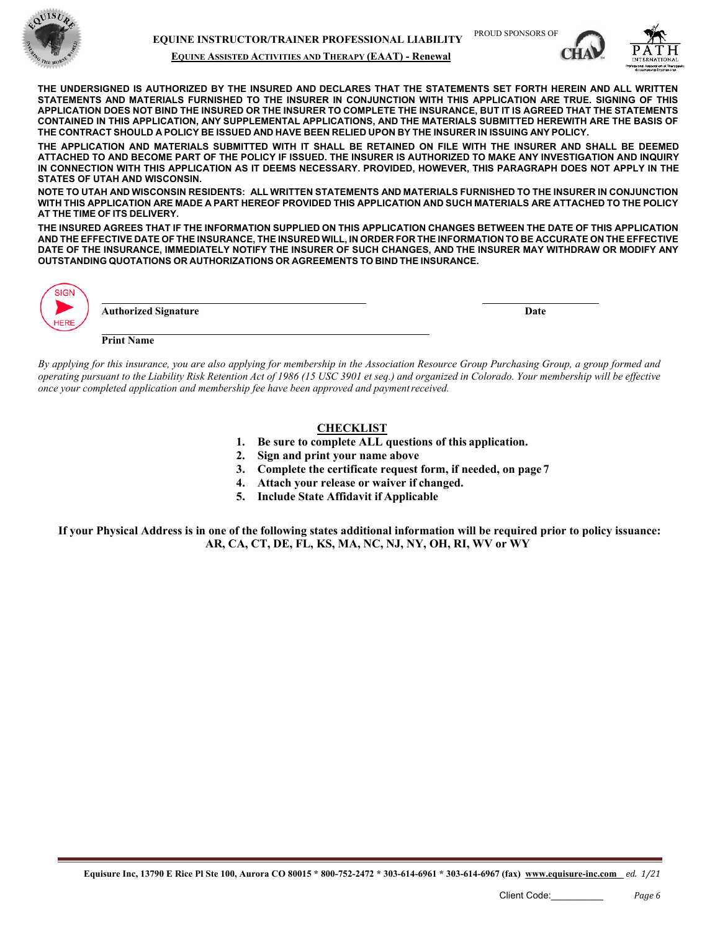

#### **EQUINE ASSISTED ACTIVITIES AND THERAPY (EAAT) - Renewal**





**THE UNDERSIGNED IS AUTHORIZED BY THE INSURED AND DECLARES THAT THE STATEMENTS SET FORTH HEREIN AND ALL WRITTEN STATEMENTS AND MATERIALS FURNISHED TO THE INSURER IN CONJUNCTION WITH THIS APPLICATION ARE TRUE. SIGNING OF THIS**  APPLICATION DOES NOT BIND THE INSURED OR THE INSURER TO COMPLETE THE INSURANCE, BUT IT IS AGREED THAT THE STATEMENTS **CONTAINED IN THIS APPLICATION, ANY SUPPLEMENTAL APPLICATIONS, AND THE MATERIALS SUBMITTED HEREWITH ARE THE BASIS OF**  THE CONTRACT SHOULD A POLICY BE ISSUED AND HAVE BEEN RELIED UPON BY THE INSURER IN ISSUING ANY POLICY.

**THE APPLICATION AND MATERIALS SUBMITTED WITH IT SHALL BE RETAINED ON FILE WITH THE INSURER AND SHALL BE DEEMED ATTACHED TO AND BECOME PART OF THE POLICY IF ISSUED. THE INSURER IS AUTHORIZED TO MAKE ANY INVESTIGATION AND INQUIRY IN CONNECTION WITH THIS APPLICATION AS IT DEEMS NECESSARY. PROVIDED, HOWEVER, THIS PARAGRAPH DOES NOT APPLY IN THE STATES OF UTAH AND WISCONSIN.**

NOTE TO UTAH AND WISCONSIN RESIDENTS: ALL WRITTEN STATEMENTS AND MATERIALS FURNISHED TO THE INSURER IN CONJUNCTION WITH THIS APPLICATION ARE MADE A PART HEREOF PROVIDED THIS APPLICATION AND SUCH MATERIALS ARE ATTACHED TO THE POLICY **AT THE TIME OF ITS DELIVERY.**

THE INSURED AGREES THAT IF THE INFORMATION SUPPLIED ON THIS APPLICATION CHANGES BETWEEN THE DATE OF THIS APPLICATION AND THE EFFECTIVE DATE OF THE INSURANCE, THE INSURED WILL, IN ORDER FOR THE INFORMATION TO BE ACCURATE ON THE EFFECTIVE **DATE OF THE INSURANCE, IMMEDIATELY NOTIFY THE INSURER OF SUCH CHANGES, AND THE INSURER MAY WITHDRAW OR MODIFY ANY OUTSTANDING QUOTATIONS OR AUTHORIZATIONS OR AGREEMENTS TO BIND THE INSURANCE.**

|                   | Date                        |
|-------------------|-----------------------------|
|                   |                             |
|                   |                             |
| <b>Print Name</b> |                             |
|                   | <b>Authorized Signature</b> |

*By applying for this insurance, you are also applying for membership in the Association Resource Group Purchasing Group, a group formed and*  operating pursuant to the Liability Risk Retention Act of 1986 (15 USC 3901 et sea.) and organized in Colorado. Your membership will be effective *once your completed application and membership fee have been approved and paymentreceived.*

#### **CHECKLIST**

- **1. Be sure to complete ALL questions of this application.**
- **2. Sign and print your name above**
- **3. Complete the certificate request form, if needed, on page 7**
- **4. Attach your release or waiver if changed.**
- **5. Include State Affidavit if Applicable**

**If your Physical Address is in one of the following states additional information will be required prior to policy issuance: AR, CA, CT, DE, FL, KS, MA, NC, NJ, NY, OH, RI, WV or WY**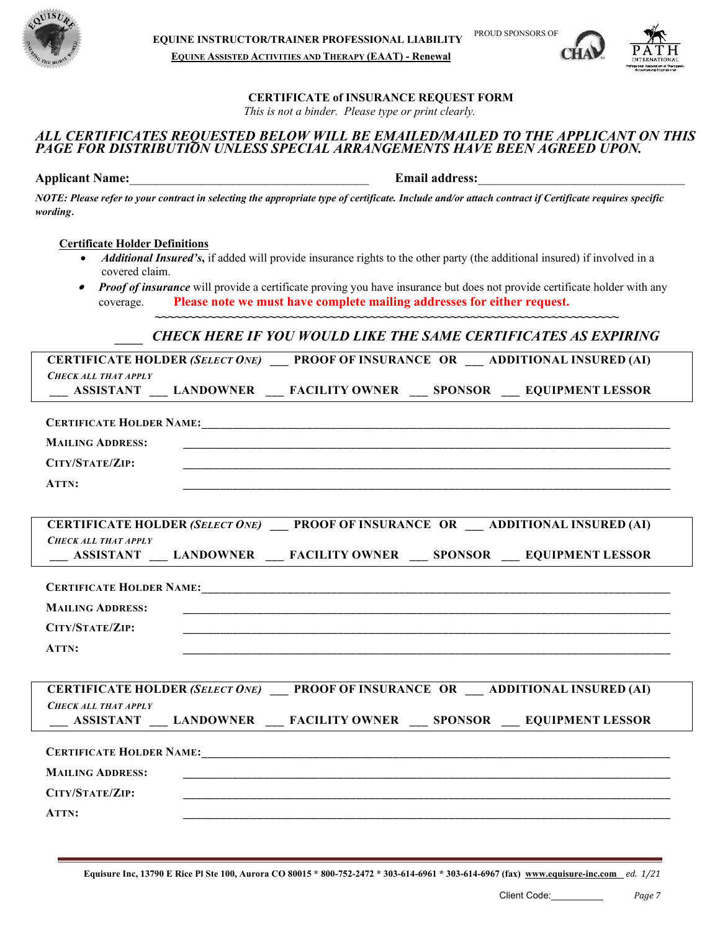



# **CERTIFICATE of INSURANCE REQUEST FORM**

*This is not a binder. Please type or print clearly.*

# *ALL CERTIFICATES REQUESTED BELOW WILL BE EMAILED/MAILED TO THE APPLICANT ON THIS*  PAGE FOR DISTRIBUTION UNLESS SPECIAL ARRANGEMENTS HAVE BEEN AGREED UPON.

**Applicant Name:**  $\qquad \qquad$  **Email address:** 

*NOTE: Please refer to your contract in selecting the appropriate type of certificate. Include and/or attach contract if Certificate requires specific wording*.

#### **Certificate Holder Definitions**

- *Additional Insured's***,** if added will provide insurance rights to the other party (the additional insured) if involved in a covered claim.
- • *Proof of insurance* will provide a certificate proving you have insurance but does not provide certificate holder with any coverage. **Please note we must have complete mailing addresses for either request.**

**~~~~~~~~~~~~~~~~~~~~~~~~~~~~~~~~~~~~~~~~~~~~~~~~~~~~~~~~~~~~~~~~~~~~~**

# *\_\_\_ CHECK HERE IF YOU WOULD LIKE THE SAME CERTIFICATES AS EXPIRING*

| <b>CERTIFICATE HOLDER (SELECT ONE) PROOF OF INSURANCE OR ADDITIONAL INSURED (AI)</b>     |
|------------------------------------------------------------------------------------------|
| <b>CHECK ALL THAT APPLY</b>                                                              |
| __ ASSISTANT __ LANDOWNER __ FACILITY OWNER __ SPONSOR __ EQUIPMENT LESSOR               |
|                                                                                          |
|                                                                                          |
| <b>MAILING ADDRESS:</b>                                                                  |
| CITY/STATE/ZIP:                                                                          |
| ATTN:                                                                                    |
|                                                                                          |
| <b>CERTIFICATE HOLDER (SELECT ONE) PROOF OF INSURANCE OR ADDITIONAL INSURED (AI)</b>     |
| <b>CHECK ALL THAT APPLY</b>                                                              |
| __ ASSISTANT __ LANDOWNER __ FACILITY OWNER __ SPONSOR __ EQUIPMENT LESSOR               |
|                                                                                          |
|                                                                                          |
| <b>MAILING ADDRESS:</b>                                                                  |
| CITY/STATE/ZIP:                                                                          |
| ATTN:                                                                                    |
|                                                                                          |
| CERTIFICATE HOLDER (SELECT ONE) _____ PROOF OF INSURANCE OR ____ ADDITIONAL INSURED (AI) |
| <b>CHECK ALL THAT APPLY</b>                                                              |
| ASSISTANT __ LANDOWNER __ FACILITY OWNER __ SPONSOR __ EQUIPMENT LESSOR                  |
|                                                                                          |
|                                                                                          |
| <b>MAILING ADDRESS:</b>                                                                  |
| CITY/STATE/ZIP:                                                                          |
| ATTN:                                                                                    |
|                                                                                          |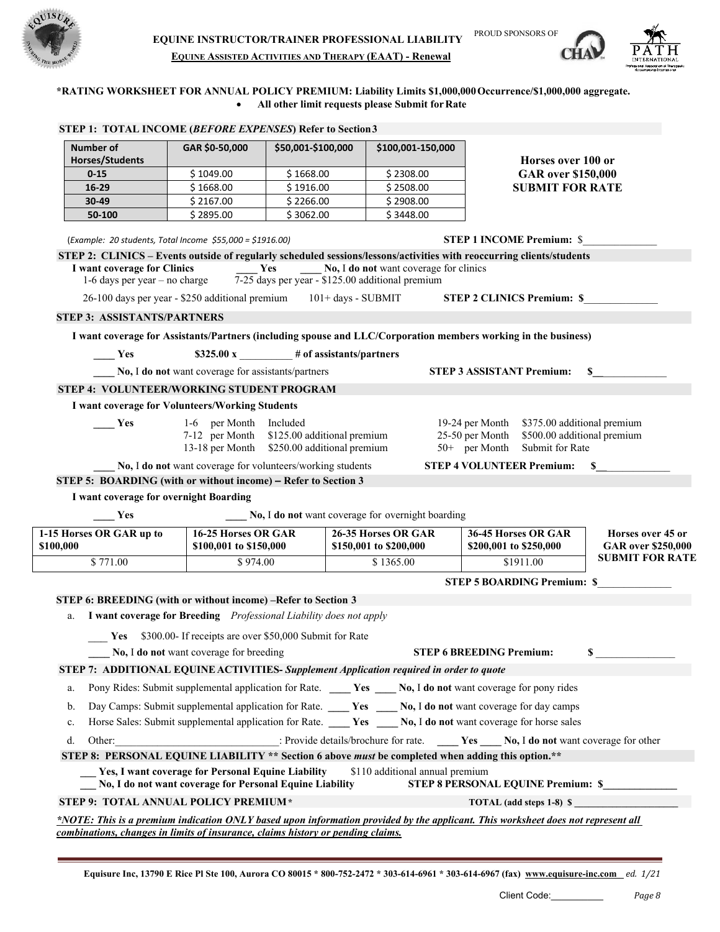





### \*RATING WORKSHEET FOR ANNUAL POLICY PREMIUM: Liability Limits \$1,000,000 Occurrence/\$1,000,000 aggregate. • **All other limit requests please Submit forRate**

|                                                                                         | GAR \$0-50,000                                                                                                 | \$50,001-\$100,000                                      | \$100,001-150,000                                 |                                                                                                                       |                                                |
|-----------------------------------------------------------------------------------------|----------------------------------------------------------------------------------------------------------------|---------------------------------------------------------|---------------------------------------------------|-----------------------------------------------------------------------------------------------------------------------|------------------------------------------------|
| <b>Horses/Students</b>                                                                  |                                                                                                                |                                                         |                                                   | Horses over 100 or                                                                                                    |                                                |
| $0 - 15$<br>16-29                                                                       | \$1049.00<br>\$1668.00                                                                                         | \$1668.00<br>\$1916.00                                  | \$2308.00<br>\$2508.00                            | <b>GAR</b> over \$150,000<br><b>SUBMIT FOR RATE</b>                                                                   |                                                |
| 30-49                                                                                   | \$2167.00                                                                                                      | \$2266.00                                               | \$2908.00                                         |                                                                                                                       |                                                |
| 50-100                                                                                  | \$2895.00                                                                                                      | \$3062.00                                               | \$3448.00                                         |                                                                                                                       |                                                |
|                                                                                         |                                                                                                                |                                                         |                                                   |                                                                                                                       |                                                |
|                                                                                         | (Example: 20 students, Total Income \$55,000 = \$1916.00)                                                      |                                                         |                                                   | <b>STEP 1 INCOME Premium: \$</b>                                                                                      |                                                |
|                                                                                         |                                                                                                                |                                                         |                                                   | STEP 2: CLINICS - Events outside of regularly scheduled sessions/lessons/activities with reoccurring clients/students |                                                |
| I want coverage for Clinics<br>1-6 days per year $-$ no charge                          |                                                                                                                | Yes<br>7-25 days per year - \$125.00 additional premium | No, I do not want coverage for clinics            |                                                                                                                       |                                                |
|                                                                                         | 26-100 days per year - \$250 additional premium                                                                |                                                         | $101 + days - SUBMIT$                             | <b>STEP 2 CLINICS Premium: \$</b>                                                                                     |                                                |
| <b>STEP 3: ASSISTANTS/PARTNERS</b>                                                      |                                                                                                                |                                                         |                                                   |                                                                                                                       |                                                |
|                                                                                         |                                                                                                                |                                                         |                                                   | I want coverage for Assistants/Partners (including spouse and LLC/Corporation members working in the business)        |                                                |
| Yes                                                                                     |                                                                                                                | $$325.00 \text{ x}$ # of assistants/partners            |                                                   |                                                                                                                       |                                                |
|                                                                                         | No, I do not want coverage for assistants/partners                                                             |                                                         |                                                   | <b>STEP 3 ASSISTANT Premium:</b>                                                                                      | S                                              |
| STEP 4: VOLUNTEER/WORKING STUDENT PROGRAM                                               |                                                                                                                |                                                         |                                                   |                                                                                                                       |                                                |
|                                                                                         | I want coverage for Volunteers/Working Students                                                                |                                                         |                                                   |                                                                                                                       |                                                |
| Yes                                                                                     | 1-6 per Month                                                                                                  | Included                                                |                                                   | 19-24 per Month<br>\$375.00 additional premium                                                                        |                                                |
|                                                                                         |                                                                                                                | 7-12 per Month \$125.00 additional premium              |                                                   | \$500.00 additional premium<br>25-50 per Month                                                                        |                                                |
|                                                                                         | 13-18 per Month                                                                                                | \$250.00 additional premium                             |                                                   | $50+$ per Month<br>Submit for Rate                                                                                    |                                                |
|                                                                                         | No, I do not want coverage for volunteers/working students                                                     |                                                         |                                                   | <b>STEP 4 VOLUNTEER Premium:</b>                                                                                      | S                                              |
| STEP 5: BOARDING (with or without income) - Refer to Section 3                          |                                                                                                                |                                                         |                                                   |                                                                                                                       |                                                |
| I want coverage for overnight Boarding                                                  |                                                                                                                |                                                         |                                                   |                                                                                                                       |                                                |
| Yes                                                                                     | 16-25 Horses OR GAR                                                                                            |                                                         | No, I do not want coverage for overnight boarding |                                                                                                                       |                                                |
| 1-15 Horses OR GAR up to<br>\$100,000                                                   | \$100,001 to \$150,000                                                                                         |                                                         | 26-35 Horses OR GAR<br>\$150,001 to \$200,000     | 36-45 Horses OR GAR<br>\$200,001 to \$250,000                                                                         | Horses over 45 or<br><b>GAR</b> over \$250,000 |
|                                                                                         |                                                                                                                |                                                         | \$1365.00                                         | \$1911.00                                                                                                             | <b>SUBMIT FOR RATE</b>                         |
|                                                                                         | \$974.00                                                                                                       |                                                         |                                                   |                                                                                                                       |                                                |
| $\overline{$}771.00$                                                                    |                                                                                                                |                                                         |                                                   |                                                                                                                       |                                                |
|                                                                                         |                                                                                                                |                                                         |                                                   | <b>STEP 5 BOARDING Premium: \$</b>                                                                                    |                                                |
| STEP 6: BREEDING (with or without income) –Refer to Section 3<br>a.                     |                                                                                                                |                                                         |                                                   |                                                                                                                       |                                                |
|                                                                                         | I want coverage for Breeding Professional Liability does not apply                                             |                                                         |                                                   |                                                                                                                       |                                                |
|                                                                                         | Yes \$300.00- If receipts are over \$50,000 Submit for Rate                                                    |                                                         |                                                   |                                                                                                                       | \$                                             |
|                                                                                         | No, I do not want coverage for breeding                                                                        |                                                         |                                                   | <b>STEP 6 BREEDING Premium:</b>                                                                                       |                                                |
| STEP 7: ADDITIONAL EQUINE ACTIVITIES- Supplement Application required in order to quote |                                                                                                                |                                                         |                                                   |                                                                                                                       |                                                |
| a.                                                                                      |                                                                                                                |                                                         |                                                   | Pony Rides: Submit supplemental application for Rate. ____ Yes ____ No, I do not want coverage for pony rides         |                                                |
| b.                                                                                      |                                                                                                                |                                                         |                                                   | Day Camps: Submit supplemental application for Rate. _____ Yes _____ No, I do not want coverage for day camps         |                                                |
| c.                                                                                      |                                                                                                                |                                                         |                                                   | Horse Sales: Submit supplemental application for Rate. No, I do not want coverage for horse sales                     |                                                |
| d.                                                                                      |                                                                                                                |                                                         |                                                   | Other: Provide details/brochure for rate. No, I do not want coverage for other                                        |                                                |
|                                                                                         |                                                                                                                |                                                         |                                                   | STEP 8: PERSONAL EQUINE LIABILITY ** Section 6 above must be completed when adding this option.**                     |                                                |
|                                                                                         | Yes, I want coverage for Personal Equine Liability<br>No, I do not want coverage for Personal Equine Liability |                                                         | \$110 additional annual premium                   | STEP 8 PERSONAL EQUINE Premium: \$                                                                                    |                                                |
| STEP 9: TOTAL ANNUAL POLICY PREMIUM*                                                    |                                                                                                                |                                                         |                                                   |                                                                                                                       |                                                |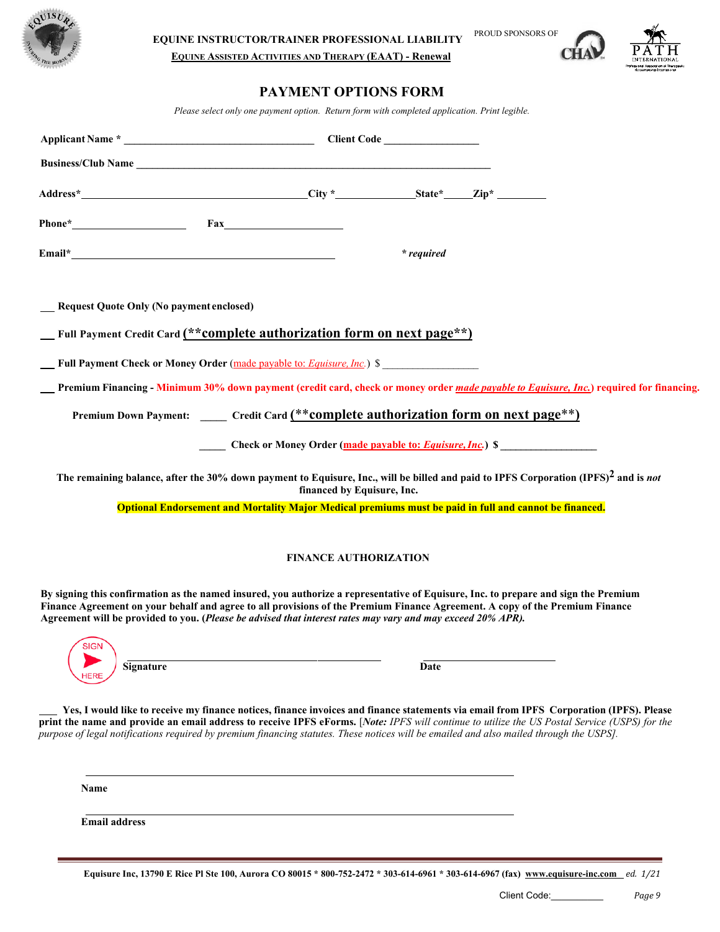

**EQUINE ASSISTED ACTIVITIES AND THERAPY (EAAT) - Renewal**

# **PAYMENT OPTIONS FORM**

*Please select only one payment option. Return form with completed application. Print legible.*

| * required                                                                                                                                                                                                                                                                                                                                                                                                                          |
|-------------------------------------------------------------------------------------------------------------------------------------------------------------------------------------------------------------------------------------------------------------------------------------------------------------------------------------------------------------------------------------------------------------------------------------|
| Request Quote Only (No payment enclosed)                                                                                                                                                                                                                                                                                                                                                                                            |
| _Full Payment Credit Card (**complete authorization form on next page**)                                                                                                                                                                                                                                                                                                                                                            |
| <b>Full Payment Check or Money Order</b> (made payable to: <i>Equisure, Inc.</i> ) \$                                                                                                                                                                                                                                                                                                                                               |
| Premium Financing - Minimum 30% down payment (credit card, check or money order made payable to Equisure, Inc.) required for financing.                                                                                                                                                                                                                                                                                             |
| Premium Down Payment: _____ Credit Card (**complete authorization form on next page**)                                                                                                                                                                                                                                                                                                                                              |
| Check or Money Order (made payable to: Equisure, Inc.) \$                                                                                                                                                                                                                                                                                                                                                                           |
| The remaining balance, after the 30% down payment to Equisure, Inc., will be billed and paid to IPFS Corporation (IPFS) <sup>2</sup> and is not<br>financed by Equisure, Inc.                                                                                                                                                                                                                                                       |
| Optional Endorsement and Mortality Major Medical premiums must be paid in full and cannot be financed.                                                                                                                                                                                                                                                                                                                              |
| <b>FINANCE AUTHORIZATION</b>                                                                                                                                                                                                                                                                                                                                                                                                        |
| By signing this confirmation as the named insured, you authorize a representative of Equisure, Inc. to prepare and sign the Premium<br>Finance Agreement on your behalf and agree to all provisions of the Premium Finance Agreement. A copy of the Premium Finance<br>Agreement will be provided to you. (Please be advised that interest rates may vary and may exceed 20% APR).                                                  |
| <b>SIGN</b><br>Signature<br>Date                                                                                                                                                                                                                                                                                                                                                                                                    |
| Yes, I would like to receive my finance notices, finance invoices and finance statements via email from IPFS Corporation (IPFS). Please<br>print the name and provide an email address to receive IPFS eForms. [Note: IPFS will continue to utilize the US Postal Service (USPS) for the<br>purpose of legal notifications required by premium financing statutes. These notices will be emailed and also mailed through the USPS]. |
| Name                                                                                                                                                                                                                                                                                                                                                                                                                                |

**Email address**